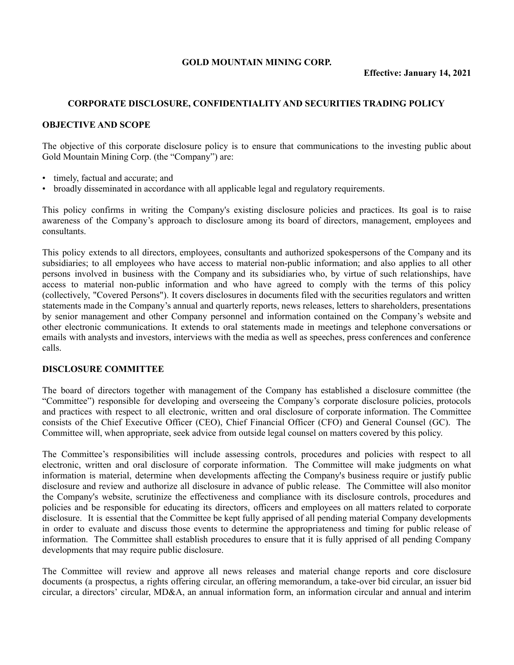### **GOLD MOUNTAIN MINING CORP.**

### **CORPORATE DISCLOSURE, CONFIDENTIALITY AND SECURITIES TRADING POLICY**

#### **OBJECTIVE AND SCOPE**

The objective of this corporate disclosure policy is to ensure that communications to the investing public about Gold Mountain Mining Corp. (the "Company") are:

- timely, factual and accurate; and
- broadly disseminated in accordance with all applicable legal and regulatory requirements.

This policy confirms in writing the Company's existing disclosure policies and practices. Its goal is to raise awareness of the Company's approach to disclosure among its board of directors, management, employees and consultants.

This policy extends to all directors, employees, consultants and authorized spokespersons of the Company and its subsidiaries; to all employees who have access to material non-public information; and also applies to all other persons involved in business with the Company and its subsidiaries who, by virtue of such relationships, have access to material non-public information and who have agreed to comply with the terms of this policy (collectively, "Covered Persons"). It covers disclosures in documents filed with the securities regulators and written statements made in the Company's annual and quarterly reports, news releases, letters to shareholders, presentations by senior management and other Company personnel and information contained on the Company's website and other electronic communications. It extends to oral statements made in meetings and telephone conversations or emails with analysts and investors, interviews with the media as well as speeches, press conferences and conference calls.

### **DISCLOSURE COMMITTEE**

The board of directors together with management of the Company has established a disclosure committee (the "Committee") responsible for developing and overseeing the Company's corporate disclosure policies, protocols and practices with respect to all electronic, written and oral disclosure of corporate information. The Committee consists of the Chief Executive Officer (CEO), Chief Financial Officer (CFO) and General Counsel (GC). The Committee will, when appropriate, seek advice from outside legal counsel on matters covered by this policy.

The Committee's responsibilities will include assessing controls, procedures and policies with respect to all electronic, written and oral disclosure of corporate information. The Committee will make judgments on what information is material, determine when developments affecting the Company's business require or justify public disclosure and review and authorize all disclosure in advance of public release. The Committee will also monitor the Company's website, scrutinize the effectiveness and compliance with its disclosure controls, procedures and policies and be responsible for educating its directors, officers and employees on all matters related to corporate disclosure. It is essential that the Committee be kept fully apprised of all pending material Company developments in order to evaluate and discuss those events to determine the appropriateness and timing for public release of information. The Committee shall establish procedures to ensure that it is fully apprised of all pending Company developments that may require public disclosure.

The Committee will review and approve all news releases and material change reports and core disclosure documents (a prospectus, a rights offering circular, an offering memorandum, a take-over bid circular, an issuer bid circular, a directors' circular, MD&A, an annual information form, an information circular and annual and interim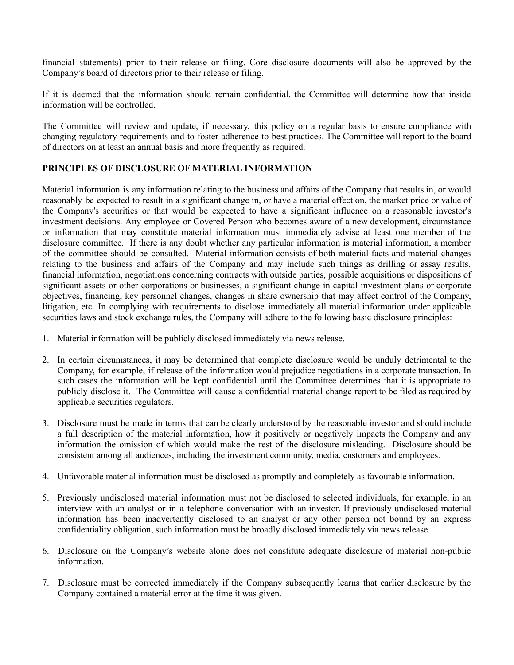financial statements) prior to their release or filing. Core disclosure documents will also be approved by the Company's board of directors prior to their release or filing.

If it is deemed that the information should remain confidential, the Committee will determine how that inside information will be controlled.

The Committee will review and update, if necessary, this policy on a regular basis to ensure compliance with changing regulatory requirements and to foster adherence to best practices. The Committee will report to the board of directors on at least an annual basis and more frequently as required.

## **PRINCIPLES OF DISCLOSURE OF MATERIAL INFORMATION**

Material information is any information relating to the business and affairs of the Company that results in, or would reasonably be expected to result in a significant change in, or have a material effect on, the market price or value of the Company's securities or that would be expected to have a significant influence on a reasonable investor's investment decisions. Any employee or Covered Person who becomes aware of a new development, circumstance or information that may constitute material information must immediately advise at least one member of the disclosure committee. If there is any doubt whether any particular information is material information, a member of the committee should be consulted. Material information consists of both material facts and material changes relating to the business and affairs of the Company and may include such things as drilling or assay results, financial information, negotiations concerning contracts with outside parties, possible acquisitions or dispositions of significant assets or other corporations or businesses, a significant change in capital investment plans or corporate objectives, financing, key personnel changes, changes in share ownership that may affect control of the Company, litigation, etc. In complying with requirements to disclose immediately all material information under applicable securities laws and stock exchange rules, the Company will adhere to the following basic disclosure principles:

- 1. Material information will be publicly disclosed immediately via news release.
- 2. In certain circumstances, it may be determined that complete disclosure would be unduly detrimental to the Company, for example, if release of the information would prejudice negotiations in a corporate transaction. In such cases the information will be kept confidential until the Committee determines that it is appropriate to publicly disclose it. The Committee will cause a confidential material change report to be filed as required by applicable securities regulators.
- 3. Disclosure must be made in terms that can be clearly understood by the reasonable investor and should include a full description of the material information, how it positively or negatively impacts the Company and any information the omission of which would make the rest of the disclosure misleading. Disclosure should be consistent among all audiences, including the investment community, media, customers and employees.
- 4. Unfavorable material information must be disclosed as promptly and completely as favourable information.
- 5. Previously undisclosed material information must not be disclosed to selected individuals, for example, in an interview with an analyst or in a telephone conversation with an investor. If previously undisclosed material information has been inadvertently disclosed to an analyst or any other person not bound by an express confidentiality obligation, such information must be broadly disclosed immediately via news release.
- 6. Disclosure on the Company's website alone does not constitute adequate disclosure of material non-public information.
- 7. Disclosure must be corrected immediately if the Company subsequently learns that earlier disclosure by the Company contained a material error at the time it was given.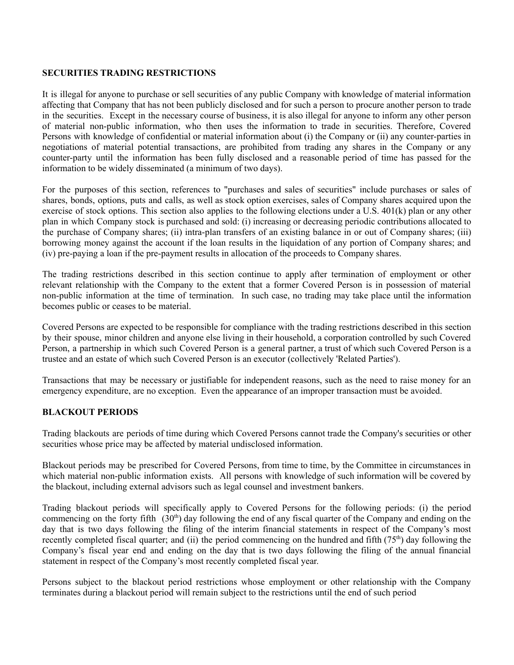### **SECURITIES TRADING RESTRICTIONS**

It is illegal for anyone to purchase or sell securities of any public Company with knowledge of material information affecting that Company that has not been publicly disclosed and for such a person to procure another person to trade in the securities. Except in the necessary course of business, it is also illegal for anyone to inform any other person of material non-public information, who then uses the information to trade in securities. Therefore, Covered Persons with knowledge of confidential or material information about (i) the Company or (ii) any counter-parties in negotiations of material potential transactions, are prohibited from trading any shares in the Company or any counter-party until the information has been fully disclosed and a reasonable period of time has passed for the information to be widely disseminated (a minimum of two days).

For the purposes of this section, references to "purchases and sales of securities" include purchases or sales of shares, bonds, options, puts and calls, as well as stock option exercises, sales of Company shares acquired upon the exercise of stock options. This section also applies to the following elections under a U.S. 401(k) plan or any other plan in which Company stock is purchased and sold: (i) increasing or decreasing periodic contributions allocated to the purchase of Company shares; (ii) intra-plan transfers of an existing balance in or out of Company shares; (iii) borrowing money against the account if the loan results in the liquidation of any portion of Company shares; and (iv) pre-paying a loan if the pre-payment results in allocation of the proceeds to Company shares.

The trading restrictions described in this section continue to apply after termination of employment or other relevant relationship with the Company to the extent that a former Covered Person is in possession of material non-public information at the time of termination. In such case, no trading may take place until the information becomes public or ceases to be material.

Covered Persons are expected to be responsible for compliance with the trading restrictions described in this section by their spouse, minor children and anyone else living in their household, a corporation controlled by such Covered Person, a partnership in which such Covered Person is a general partner, a trust of which such Covered Person is a trustee and an estate of which such Covered Person is an executor (collectively 'Related Parties').

Transactions that may be necessary or justifiable for independent reasons, such as the need to raise money for an emergency expenditure, are no exception. Even the appearance of an improper transaction must be avoided.

### **BLACKOUT PERIODS**

Trading blackouts are periods of time during which Covered Persons cannot trade the Company's securities or other securities whose price may be affected by material undisclosed information.

Blackout periods may be prescribed for Covered Persons, from time to time, by the Committee in circumstances in which material non-public information exists. All persons with knowledge of such information will be covered by the blackout, including external advisors such as legal counsel and investment bankers.

Trading blackout periods will specifically apply to Covered Persons for the following periods: (i) the period commencing on the forty fifth  $(30<sup>th</sup>)$  day following the end of any fiscal quarter of the Company and ending on the day that is two days following the filing of the interim financial statements in respect of the Company's most recently completed fiscal quarter; and (ii) the period commencing on the hundred and fifth  $(75<sup>th</sup>)$  day following the Company's fiscal year end and ending on the day that is two days following the filing of the annual financial statement in respect of the Company's most recently completed fiscal year.

Persons subject to the blackout period restrictions whose employment or other relationship with the Company terminates during a blackout period will remain subject to the restrictions until the end of such period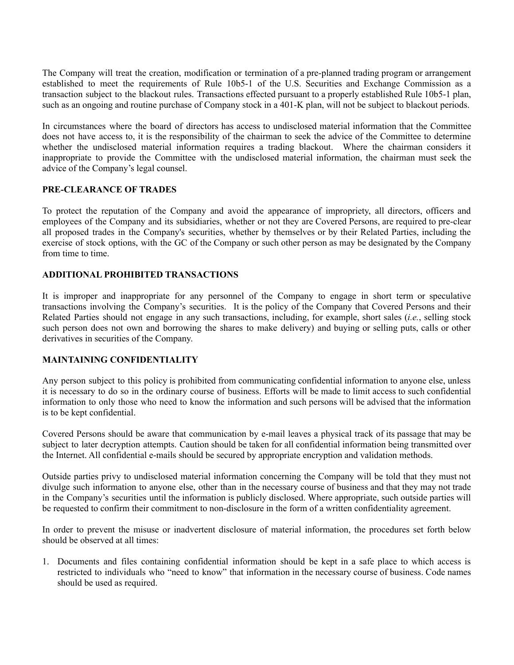The Company will treat the creation, modification or termination of a pre-planned trading program or arrangement established to meet the requirements of Rule 10b5-1 of the U.S. Securities and Exchange Commission as a transaction subject to the blackout rules. Transactions effected pursuant to a properly established Rule 10b5-1 plan, such as an ongoing and routine purchase of Company stock in a 401-K plan, will not be subject to blackout periods.

In circumstances where the board of directors has access to undisclosed material information that the Committee does not have access to, it is the responsibility of the chairman to seek the advice of the Committee to determine whether the undisclosed material information requires a trading blackout. Where the chairman considers it inappropriate to provide the Committee with the undisclosed material information, the chairman must seek the advice of the Company's legal counsel.

# **PRE-CLEARANCE OF TRADES**

To protect the reputation of the Company and avoid the appearance of impropriety, all directors, officers and employees of the Company and its subsidiaries, whether or not they are Covered Persons, are required to pre-clear all proposed trades in the Company's securities, whether by themselves or by their Related Parties, including the exercise of stock options, with the GC of the Company or such other person as may be designated by the Company from time to time.

## **ADDITIONAL PROHIBITED TRANSACTIONS**

It is improper and inappropriate for any personnel of the Company to engage in short term or speculative transactions involving the Company's securities. It is the policy of the Company that Covered Persons and their Related Parties should not engage in any such transactions, including, for example, short sales (*i.e.*, selling stock such person does not own and borrowing the shares to make delivery) and buying or selling puts, calls or other derivatives in securities of the Company.

### **MAINTAINING CONFIDENTIALITY**

Any person subject to this policy is prohibited from communicating confidential information to anyone else, unless it is necessary to do so in the ordinary course of business. Efforts will be made to limit access to such confidential information to only those who need to know the information and such persons will be advised that the information is to be kept confidential.

Covered Persons should be aware that communication by e-mail leaves a physical track of its passage that may be subject to later decryption attempts. Caution should be taken for all confidential information being transmitted over the Internet. All confidential e-mails should be secured by appropriate encryption and validation methods.

Outside parties privy to undisclosed material information concerning the Company will be told that they must not divulge such information to anyone else, other than in the necessary course of business and that they may not trade in the Company's securities until the information is publicly disclosed. Where appropriate, such outside parties will be requested to confirm their commitment to non-disclosure in the form of a written confidentiality agreement.

In order to prevent the misuse or inadvertent disclosure of material information, the procedures set forth below should be observed at all times:

1. Documents and files containing confidential information should be kept in a safe place to which access is restricted to individuals who "need to know" that information in the necessary course of business. Code names should be used as required.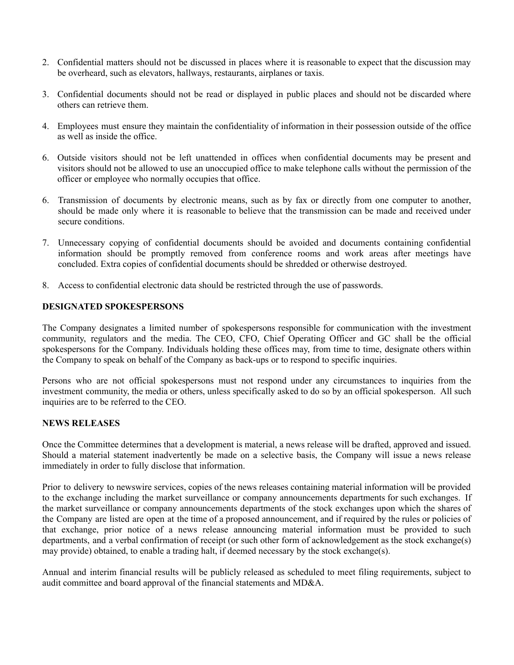- 2. Confidential matters should not be discussed in places where it is reasonable to expect that the discussion may be overheard, such as elevators, hallways, restaurants, airplanes or taxis.
- 3. Confidential documents should not be read or displayed in public places and should not be discarded where others can retrieve them.
- 4. Employees must ensure they maintain the confidentiality of information in their possession outside of the office as well as inside the office.
- 6. Outside visitors should not be left unattended in offices when confidential documents may be present and visitors should not be allowed to use an unoccupied office to make telephone calls without the permission of the officer or employee who normally occupies that office.
- 6. Transmission of documents by electronic means, such as by fax or directly from one computer to another, should be made only where it is reasonable to believe that the transmission can be made and received under secure conditions.
- 7. Unnecessary copying of confidential documents should be avoided and documents containing confidential information should be promptly removed from conference rooms and work areas after meetings have concluded. Extra copies of confidential documents should be shredded or otherwise destroyed.
- 8. Access to confidential electronic data should be restricted through the use of passwords.

### **DESIGNATED SPOKESPERSONS**

The Company designates a limited number of spokespersons responsible for communication with the investment community, regulators and the media. The CEO, CFO, Chief Operating Officer and GC shall be the official spokespersons for the Company. Individuals holding these offices may, from time to time, designate others within the Company to speak on behalf of the Company as back-ups or to respond to specific inquiries.

Persons who are not official spokespersons must not respond under any circumstances to inquiries from the investment community, the media or others, unless specifically asked to do so by an official spokesperson. All such inquiries are to be referred to the CEO.

### **NEWS RELEASES**

Once the Committee determines that a development is material, a news release will be drafted, approved and issued. Should a material statement inadvertently be made on a selective basis, the Company will issue a news release immediately in order to fully disclose that information.

Prior to delivery to newswire services, copies of the news releases containing material information will be provided to the exchange including the market surveillance or company announcements departments for such exchanges. If the market surveillance or company announcements departments of the stock exchanges upon which the shares of the Company are listed are open at the time of a proposed announcement, and if required by the rules or policies of that exchange, prior notice of a news release announcing material information must be provided to such departments, and a verbal confirmation of receipt (or such other form of acknowledgement as the stock exchange(s) may provide) obtained, to enable a trading halt, if deemed necessary by the stock exchange(s).

Annual and interim financial results will be publicly released as scheduled to meet filing requirements, subject to audit committee and board approval of the financial statements and MD&A.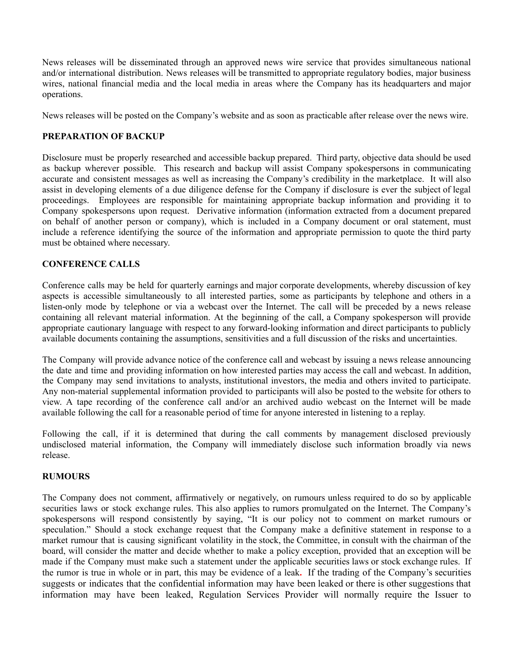News releases will be disseminated through an approved news wire service that provides simultaneous national and/or international distribution. News releases will be transmitted to appropriate regulatory bodies, major business wires, national financial media and the local media in areas where the Company has its headquarters and major operations.

News releases will be posted on the Company's website and as soon as practicable after release over the news wire.

### **PREPARATION OF BACKUP**

Disclosure must be properly researched and accessible backup prepared. Third party, objective data should be used as backup wherever possible. This research and backup will assist Company spokespersons in communicating accurate and consistent messages as well as increasing the Company's credibility in the marketplace. It will also assist in developing elements of a due diligence defense for the Company if disclosure is ever the subject of legal proceedings. Employees are responsible for maintaining appropriate backup information and providing it to Company spokespersons upon request. Derivative information (information extracted from a document prepared on behalf of another person or company), which is included in a Company document or oral statement, must include a reference identifying the source of the information and appropriate permission to quote the third party must be obtained where necessary.

## **CONFERENCE CALLS**

Conference calls may be held for quarterly earnings and major corporate developments, whereby discussion of key aspects is accessible simultaneously to all interested parties, some as participants by telephone and others in a listen-only mode by telephone or via a webcast over the Internet. The call will be preceded by a news release containing all relevant material information. At the beginning of the call, a Company spokesperson will provide appropriate cautionary language with respect to any forward-looking information and direct participants to publicly available documents containing the assumptions, sensitivities and a full discussion of the risks and uncertainties.

The Company will provide advance notice of the conference call and webcast by issuing a news release announcing the date and time and providing information on how interested parties may access the call and webcast. In addition, the Company may send invitations to analysts, institutional investors, the media and others invited to participate. Any non-material supplemental information provided to participants will also be posted to the website for others to view. A tape recording of the conference call and/or an archived audio webcast on the Internet will be made available following the call for a reasonable period of time for anyone interested in listening to a replay.

Following the call, if it is determined that during the call comments by management disclosed previously undisclosed material information, the Company will immediately disclose such information broadly via news release.

### **RUMOURS**

The Company does not comment, affirmatively or negatively, on rumours unless required to do so by applicable securities laws or stock exchange rules. This also applies to rumors promulgated on the Internet. The Company's spokespersons will respond consistently by saying, "It is our policy not to comment on market rumours or speculation." Should a stock exchange request that the Company make a definitive statement in response to a market rumour that is causing significant volatility in the stock, the Committee, in consult with the chairman of the board, will consider the matter and decide whether to make a policy exception, provided that an exception will be made if the Company must make such a statement under the applicable securities laws or stock exchange rules. If the rumor is true in whole or in part, this may be evidence of a leak**.** If the trading of the Company's securities suggests or indicates that the confidential information may have been leaked or there is other suggestions that information may have been leaked, Regulation Services Provider will normally require the Issuer to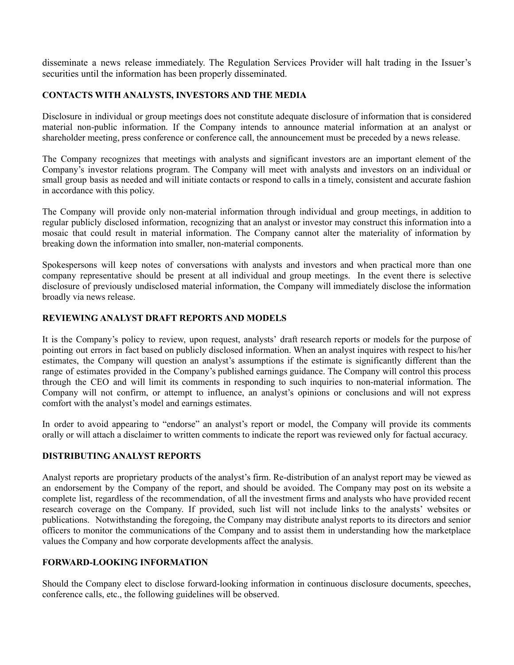disseminate a news release immediately. The Regulation Services Provider will halt trading in the Issuer's securities until the information has been properly disseminated.

## **CONTACTS WITH ANALYSTS, INVESTORS AND THE MEDIA**

Disclosure in individual or group meetings does not constitute adequate disclosure of information that is considered material non-public information. If the Company intends to announce material information at an analyst or shareholder meeting, press conference or conference call, the announcement must be preceded by a news release.

The Company recognizes that meetings with analysts and significant investors are an important element of the Company's investor relations program. The Company will meet with analysts and investors on an individual or small group basis as needed and will initiate contacts or respond to calls in a timely, consistent and accurate fashion in accordance with this policy.

The Company will provide only non-material information through individual and group meetings, in addition to regular publicly disclosed information, recognizing that an analyst or investor may construct this information into a mosaic that could result in material information. The Company cannot alter the materiality of information by breaking down the information into smaller, non-material components.

Spokespersons will keep notes of conversations with analysts and investors and when practical more than one company representative should be present at all individual and group meetings. In the event there is selective disclosure of previously undisclosed material information, the Company will immediately disclose the information broadly via news release.

## **REVIEWING ANALYST DRAFT REPORTS AND MODELS**

It is the Company's policy to review, upon request, analysts' draft research reports or models for the purpose of pointing out errors in fact based on publicly disclosed information. When an analyst inquires with respect to his/her estimates, the Company will question an analyst's assumptions if the estimate is significantly different than the range of estimates provided in the Company's published earnings guidance. The Company will control this process through the CEO and will limit its comments in responding to such inquiries to non-material information. The Company will not confirm, or attempt to influence, an analyst's opinions or conclusions and will not express comfort with the analyst's model and earnings estimates.

In order to avoid appearing to "endorse" an analyst's report or model, the Company will provide its comments orally or will attach a disclaimer to written comments to indicate the report was reviewed only for factual accuracy.

### **DISTRIBUTING ANALYST REPORTS**

Analyst reports are proprietary products of the analyst's firm. Re-distribution of an analyst report may be viewed as an endorsement by the Company of the report, and should be avoided. The Company may post on its website a complete list, regardless of the recommendation, of all the investment firms and analysts who have provided recent research coverage on the Company. If provided, such list will not include links to the analysts' websites or publications. Notwithstanding the foregoing, the Company may distribute analyst reports to its directors and senior officers to monitor the communications of the Company and to assist them in understanding how the marketplace values the Company and how corporate developments affect the analysis.

### **FORWARD-LOOKING INFORMATION**

Should the Company elect to disclose forward-looking information in continuous disclosure documents, speeches, conference calls, etc., the following guidelines will be observed.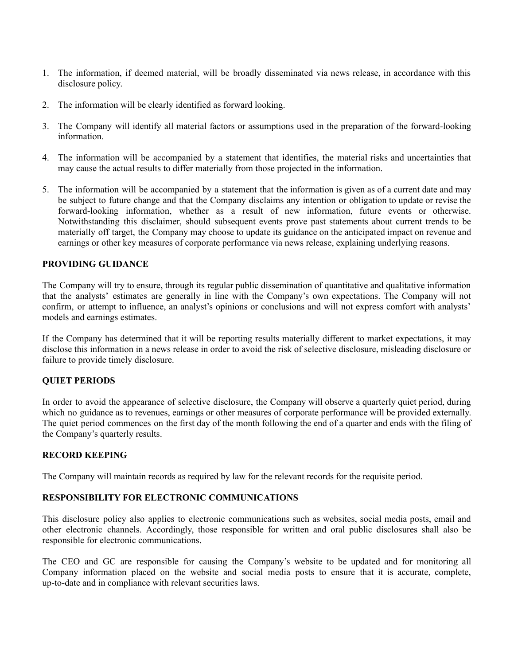- 1. The information, if deemed material, will be broadly disseminated via news release, in accordance with this disclosure policy.
- 2. The information will be clearly identified as forward looking.
- 3. The Company will identify all material factors or assumptions used in the preparation of the forward-looking information.
- 4. The information will be accompanied by a statement that identifies, the material risks and uncertainties that may cause the actual results to differ materially from those projected in the information.
- 5. The information will be accompanied by a statement that the information is given as of a current date and may be subject to future change and that the Company disclaims any intention or obligation to update or revise the forward-looking information, whether as a result of new information, future events or otherwise. Notwithstanding this disclaimer, should subsequent events prove past statements about current trends to be materially off target, the Company may choose to update its guidance on the anticipated impact on revenue and earnings or other key measures of corporate performance via news release, explaining underlying reasons.

### **PROVIDING GUIDANCE**

The Company will try to ensure, through its regular public dissemination of quantitative and qualitative information that the analysts' estimates are generally in line with the Company's own expectations. The Company will not confirm, or attempt to influence, an analyst's opinions or conclusions and will not express comfort with analysts' models and earnings estimates.

If the Company has determined that it will be reporting results materially different to market expectations, it may disclose this information in a news release in order to avoid the risk of selective disclosure, misleading disclosure or failure to provide timely disclosure.

# **QUIET PERIODS**

In order to avoid the appearance of selective disclosure, the Company will observe a quarterly quiet period, during which no guidance as to revenues, earnings or other measures of corporate performance will be provided externally. The quiet period commences on the first day of the month following the end of a quarter and ends with the filing of the Company's quarterly results.

### **RECORD KEEPING**

The Company will maintain records as required by law for the relevant records for the requisite period.

### **RESPONSIBILITY FOR ELECTRONIC COMMUNICATIONS**

This disclosure policy also applies to electronic communications such as websites, social media posts, email and other electronic channels. Accordingly, those responsible for written and oral public disclosures shall also be responsible for electronic communications.

The CEO and GC are responsible for causing the Company's website to be updated and for monitoring all Company information placed on the website and social media posts to ensure that it is accurate, complete, up-to-date and in compliance with relevant securities laws.